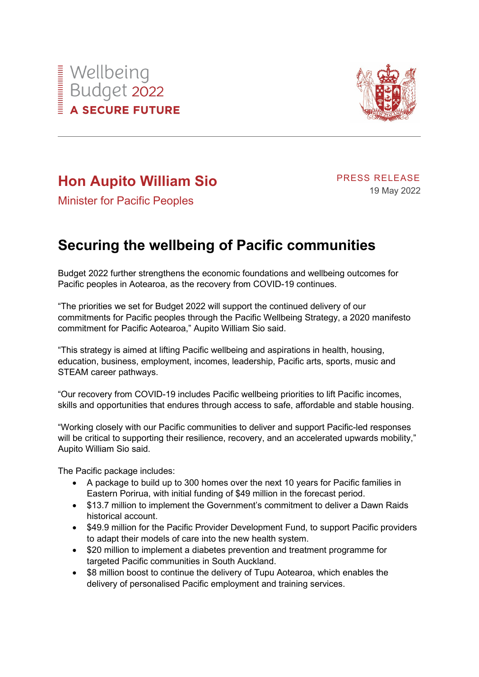



## **Hon Aupito William Sio**

PRESS RELEASE 19 May 2022

Minister for Pacific Peoples

## **Securing the wellbeing of Pacific communities**

Budget 2022 further strengthens the economic foundations and wellbeing outcomes for Pacific peoples in Aotearoa, as the recovery from COVID-19 continues.

"The priorities we set for Budget 2022 will support the continued delivery of our commitments for Pacific peoples through the Pacific Wellbeing Strategy, a 2020 manifesto commitment for Pacific Aotearoa," Aupito William Sio said.

"This strategy is aimed at lifting Pacific wellbeing and aspirations in health, housing, education, business, employment, incomes, leadership, Pacific arts, sports, music and STEAM career pathways.

"Our recovery from COVID-19 includes Pacific wellbeing priorities to lift Pacific incomes, skills and opportunities that endures through access to safe, affordable and stable housing.

"Working closely with our Pacific communities to deliver and support Pacific-led responses will be critical to supporting their resilience, recovery, and an accelerated upwards mobility," Aupito William Sio said.

The Pacific package includes:

- A package to build up to 300 homes over the next 10 years for Pacific families in Eastern Porirua, with initial funding of \$49 million in the forecast period.
- \$13.7 million to implement the Government's commitment to deliver a Dawn Raids historical account.
- \$49.9 million for the Pacific Provider Development Fund, to support Pacific providers to adapt their models of care into the new health system.
- \$20 million to implement a diabetes prevention and treatment programme for targeted Pacific communities in South Auckland.
- \$8 million boost to continue the delivery of Tupu Aotearoa, which enables the delivery of personalised Pacific employment and training services.